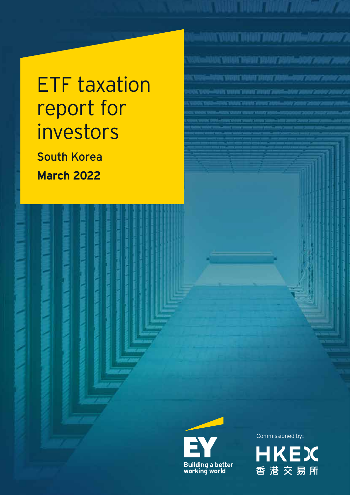# ETF taxation report for investors

South Korea **March 2022**



**Building a better<br>working world** 

Commissioned by:

BANT VARIET DIE DIE TALIEN TALIEN <mark>1990 von 19</mark>

UC VOLA HANT VILLY AUDIOUS 200

Antoni Variati Valenti otalisti ylialainen kuuli konnee k

istan watun bisar dinan jauhili 1980-19

ACAMTERIAL SUA LINE TRAVERS

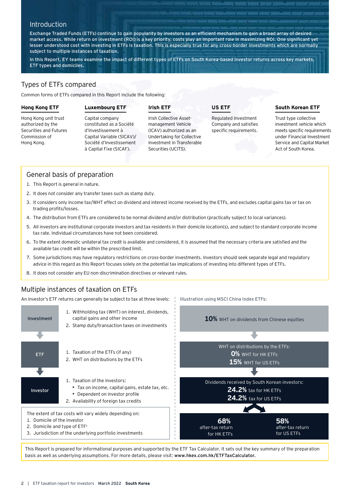# **Introduction**

Exchange Traded Funds (ETFs) continue to gain popularity by investors as an efficient mechanism to gain a broad array of desired market access. While return on investment (ROI) is a key priority, costs play an important role in maximizing ROI. One significant yet lesser understood cost with investing in ETFs is taxation. This is especially true for any cross-border investments which are normally subject to multiple instances of taxation.

In this Report, EY teams examine the impact of different types of ETFs on South Korea-based investor returns across key markets, ETF types and domiciles.

# Types of ETFs compared

Common forms of ETFs compared in this Report include the following:

#### **Hong Kong ETF**

Hong Kong unit trust authorized by the Securities and Futures Commission of Hong Kong.

# **Luxembourg ETF**

Capital company constituted as a Société d'Investissement à Capital Variable (SICAV)/ Société d'Investissement à Capital Fixe (SICAF).

# **Irish ETF**

Irish Collective Assetmanagement Vehicle (ICAV) authorized as an Undertaking for Collective Investment in Transferable Securities (UCITS).

**US ETF**

Illustration using MSCI China Index ETFs:

Regulated Investment Company and satisfies specific requirements.

# **South Korean ETF**

Trust type collective investment vehicle which meets specific requirements under Financial Investment Service and Capital Market Act of South Korea.

# General basis of preparation

- 1. This Report is general in nature.
- 2. It does not consider any transfer taxes such as stamp duty.
- 3. It considers only income tax/WHT effect on dividend and interest income received by the ETFs, and excludes capital gains tax or tax on trading profits/losses.
- 4. The distribution from ETFs are considered to be normal dividend and/or distribution (practically subject to local variances).
- 5. All investors are institutional corporate investors and tax residents in their domicile location(s), and subject to standard corporate income tax rate. Individual circumstances have not been considered.
- 6. To the extent domestic unilateral tax credit is available and considered, it is assumed that the necessary criteria are satisfied and the available tax credit will be within the prescribed limit.
- 7. Some jurisdictions may have regulatory restrictions on cross-border investments. Investors should seek separate legal and regulatory advice in this regard as this Report focuses solely on the potential tax implications of investing into different types of ETFs.
- 8. It does not consider any EU non-discrimination directives or relevant rules.

# Multiple instances of taxation on ETFs

An investor's ETF returns can generally be subject to tax at three levels:



This Report is prepared for informational purposes and supported by the ETF Tax Calculator. It sets out the key summary of the preparation basis as well as underlying assumptions. For more details, please visit: www.hkex.com.hk/ETFTaxCalculator.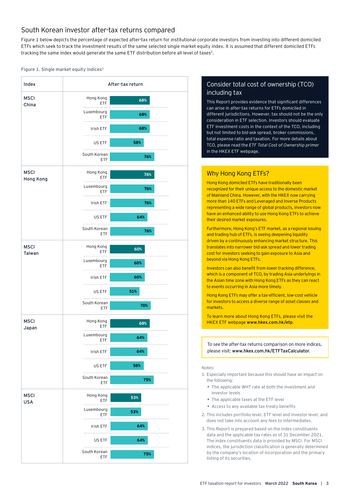# South Korean investor after-tax returns compared

Figure 1 below depicts the percentage of expected after-tax return for institutional corporate investors from investing into different domiciled ETFs which seek to track the investment results of the same selected single market equity index. It is assumed that different domiciled ETFs tracking the same index would generate the same ETF distribution before all level of taxes<sup>2</sup>.

#### Figure 1. Single market equity indices<sup>3</sup>



# Consider total cost of ownership (TCO) including tax

This Report provides evidence that significant differences can arise in after-tax returns for ETFs domiciled in different jurisdictions. However, tax should not be the only consideration in ETF selection. Investors should evaluate ETF investment costs in the context of the TCO, including but not limited to bid-ask spread, broker commissions, total expense ratio and taxation. For more details about TCO, please read the *ETF Total Cost of Ownership primer* in the HKEX ETF webpage.

# Why Hong Kong ETFs?

Hong Kong domiciled ETFs have traditionally been recognized for their unique access to the domestic market of Mainland China. However, with the HKEX now carrying more than 140 ETFs and Leveraged and Inverse Products representing a wide range of global products, investors now have an enhanced ability to use Hong Kong ETFs to achieve their desired market exposures.

Furthermore, Hong Kong's ETF market, as a regional issuing and trading hub of ETFs, is seeing deepening liquidity driven by a continuously enhancing market structure. This translates into narrower bid-ask spread and lower trading cost for investors seeking to gain exposure to Asia and beyond via Hong Kong ETFs.

Investors can also benefit from lower tracking difference, which is a component of TCO, by trading Asia underlyings in the Asian time zone with Hong Kong ETFs as they can react to events occurring in Asia more timely.

Hong Kong ETFs may offer a tax-efficient, low-cost vehicle for investors to access a diverse range of asset classes and markets.

To learn more about Hong Kong ETFs, please visit the HKEX ETF webpage www.hkex.com.hk/etp.

To see the after-tax returns comparison on more indices, please visit: www.hkex.com.hk/ETFTaxCalculator.

#### Notes:

- 1. Especially important because this should have an impact on the following:
	- The applicable WHT rate at both the investment and investor levels
	- The applicable taxes at the ETF level
	- Access to any available tax treaty benefits
- 2. This includes portfolio level, ETF level and investor level, and does not take into account any fees to intermediates.
- 3. This Report is prepared based on the index constituents data and the applicable tax rates as of 31 December 2021. The index constituents data is provided by MSCI. For MSCI indices, the jurisdiction classification is generally determined by the company's location of incorporation and the primary listing of its securities.